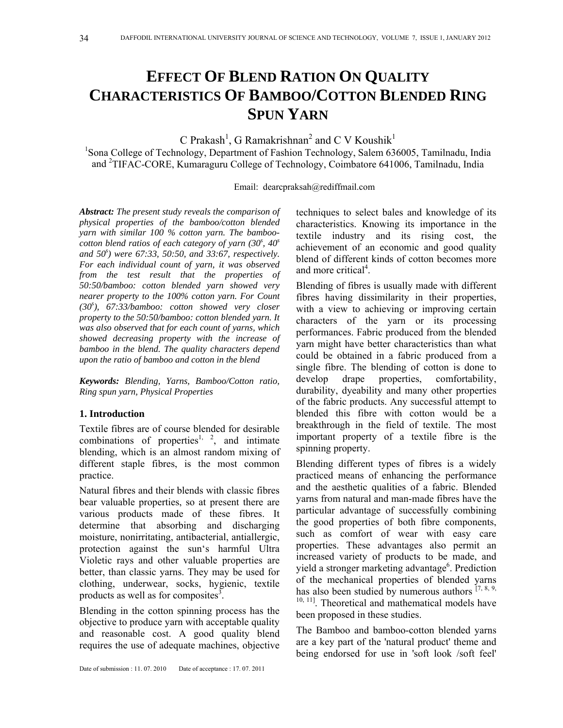# **EFFECT OF BLEND RATION ON QUALITY CHARACTERISTICS OF BAMBOO/COTTON BLENDED RING SPUN YARN**

C Prakash<sup>1</sup>, G Ramakrishnan<sup>2</sup> and C V Koushik<sup>1</sup>

<sup>1</sup>Sona College of Technology, Department of Fashion Technology, Salem 636005, Tamilnadu, India and <sup>2</sup>TIFAC-CORE, Kumaraguru College of Technology, Coimbatore 641006, Tamilnadu, India

Email: dearcpraksah@rediffmail.com

*Abstract: The present study reveals the comparison of physical properties of the bamboo/cotton blended yarn with similar 100 % cotton yarn. The bamboocotton blend ratios of each category of yarn (30s , 40<sup>s</sup> and 50<sup>s</sup> ) were 67:33, 50:50, and 33:67, respectively. For each individual count of yarn, it was observed from the test result that the properties of 50:50/bamboo: cotton blended yarn showed very nearer property to the 100% cotton yarn. For Count (30<sup>s</sup> ), 67:33/bamboo: cotton showed very closer property to the 50:50/bamboo: cotton blended yarn. It was also observed that for each count of yarns, which showed decreasing property with the increase of bamboo in the blend. The quality characters depend upon the ratio of bamboo and cotton in the blend* 

*Keywords: Blending, Yarns, Bamboo/Cotton ratio, Ring spun yarn, Physical Properties* 

# **1. Introduction**

Textile fibres are of course blended for desirable combinations of properties<sup>1, 2</sup>, and intimate blending, which is an almost random mixing of different staple fibres, is the most common practice.

Natural fibres and their blends with classic fibres bear valuable properties, so at present there are various products made of these fibres. It determine that absorbing and discharging moisture, nonirritating, antibacterial, antiallergic, protection against the sun's harmful Ultra Violetic rays and other valuable properties are better, than classic yarns. They may be used for clothing, underwear, socks, hygienic, textile products as well as for composites<sup>3</sup>.

Blending in the cotton spinning process has the objective to produce yarn with acceptable quality and reasonable cost. A good quality blend requires the use of adequate machines, objective techniques to select bales and knowledge of its characteristics. Knowing its importance in the textile industry and its rising cost, the achievement of an economic and good quality blend of different kinds of cotton becomes more and more critical<sup>4</sup>.

Blending of fibres is usually made with different fibres having dissimilarity in their properties, with a view to achieving or improving certain characters of the yarn or its processing performances. Fabric produced from the blended yarn might have better characteristics than what could be obtained in a fabric produced from a single fibre. The blending of cotton is done to develop drape properties, comfortability, durability, dyeability and many other properties of the fabric products. Any successful attempt to blended this fibre with cotton would be a breakthrough in the field of textile. The most important property of a textile fibre is the spinning property.

Blending different types of fibres is a widely practiced means of enhancing the performance and the aesthetic qualities of a fabric. Blended yarns from natural and man-made fibres have the particular advantage of successfully combining the good properties of both fibre components, such as comfort of wear with easy care properties. These advantages also permit an increased variety of products to be made, and yield a stronger marketing advantage<sup>6</sup>. Prediction of the mechanical properties of blended yarns has also been studied by numerous authors  $[7, 8, 9, 9]$ <sup>10, 11</sup>]. Theoretical and mathematical models have been proposed in these studies.

The Bamboo and bamboo-cotton blended yarns are a key part of the 'natural product' theme and being endorsed for use in 'soft look /soft feel'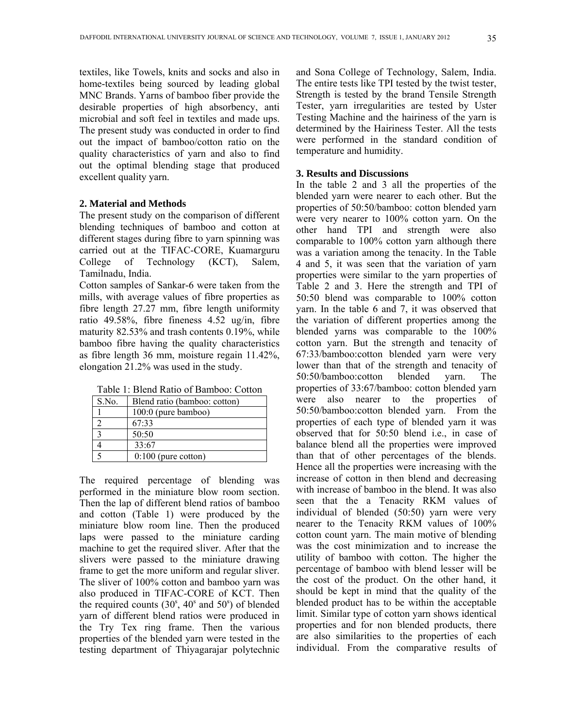textiles, like Towels, knits and socks and also in home-textiles being sourced by leading global MNC Brands. Yarns of bamboo fiber provide the desirable properties of high absorbency, anti microbial and soft feel in textiles and made ups. The present study was conducted in order to find out the impact of bamboo/cotton ratio on the quality characteristics of yarn and also to find out the optimal blending stage that produced excellent quality yarn.

#### **2. Material and Methods**

The present study on the comparison of different blending techniques of bamboo and cotton at different stages during fibre to yarn spinning was carried out at the TIFAC-CORE, Kuamarguru College of Technology (KCT), Salem, Tamilnadu, India.

Cotton samples of Sankar-6 were taken from the mills, with average values of fibre properties as fibre length 27.27 mm, fibre length uniformity ratio 49.58%, fibre fineness 4.52 ug/in, fibre maturity 82.53% and trash contents 0.19%, while bamboo fibre having the quality characteristics as fibre length 36 mm, moisture regain 11.42%, elongation 21.2% was used in the study.

|  | Table 1: Blend Ratio of Bamboo: Cotton |  |
|--|----------------------------------------|--|
|  |                                        |  |

|       | 1 AVIV 1. DIVIIA IMAIO VI DAIIIVVV. CONVII |  |  |  |
|-------|--------------------------------------------|--|--|--|
| S.No. | Blend ratio (bamboo: cotton)               |  |  |  |
|       | $100:0$ (pure bamboo)                      |  |  |  |
|       | 67:33                                      |  |  |  |
|       | 50:50                                      |  |  |  |
|       | 33:67                                      |  |  |  |
|       | $0:100$ (pure cotton)                      |  |  |  |

The required percentage of blending was performed in the miniature blow room section. Then the lap of different blend ratios of bamboo and cotton (Table 1) were produced by the miniature blow room line. Then the produced laps were passed to the miniature carding machine to get the required sliver. After that the slivers were passed to the miniature drawing frame to get the more uniform and regular sliver. The sliver of 100% cotton and bamboo yarn was also produced in TIFAC-CORE of KCT. Then the required counts  $(30^{\rm s}, 40^{\rm s}$  and  $50^{\rm s})$  of blended yarn of different blend ratios were produced in the Try Tex ring frame. Then the various properties of the blended yarn were tested in the testing department of Thiyagarajar polytechnic

and Sona College of Technology, Salem, India. The entire tests like TPI tested by the twist tester, Strength is tested by the brand Tensile Strength Tester, yarn irregularities are tested by Uster Testing Machine and the hairiness of the yarn is determined by the Hairiness Tester. All the tests were performed in the standard condition of temperature and humidity.

## **3. Results and Discussions**

In the table 2 and 3 all the properties of the blended yarn were nearer to each other. But the properties of 50:50/bamboo: cotton blended yarn were very nearer to 100% cotton yarn. On the other hand TPI and strength were also comparable to 100% cotton yarn although there was a variation among the tenacity. In the Table 4 and 5, it was seen that the variation of yarn properties were similar to the yarn properties of Table 2 and 3. Here the strength and TPI of 50:50 blend was comparable to 100% cotton yarn. In the table 6 and 7, it was observed that the variation of different properties among the blended yarns was comparable to the 100% cotton yarn. But the strength and tenacity of 67:33/bamboo:cotton blended yarn were very lower than that of the strength and tenacity of 50:50/bamboo:cotton blended yarn. The properties of 33:67/bamboo: cotton blended yarn were also nearer to the properties of 50:50/bamboo:cotton blended yarn. From the properties of each type of blended yarn it was observed that for 50:50 blend i.e., in case of balance blend all the properties were improved than that of other percentages of the blends. Hence all the properties were increasing with the increase of cotton in then blend and decreasing with increase of bamboo in the blend. It was also seen that the a Tenacity RKM values of individual of blended (50:50) yarn were very nearer to the Tenacity RKM values of 100% cotton count yarn. The main motive of blending was the cost minimization and to increase the utility of bamboo with cotton. The higher the percentage of bamboo with blend lesser will be the cost of the product. On the other hand, it should be kept in mind that the quality of the blended product has to be within the acceptable limit. Similar type of cotton yarn shows identical properties and for non blended products, there are also similarities to the properties of each individual. From the comparative results of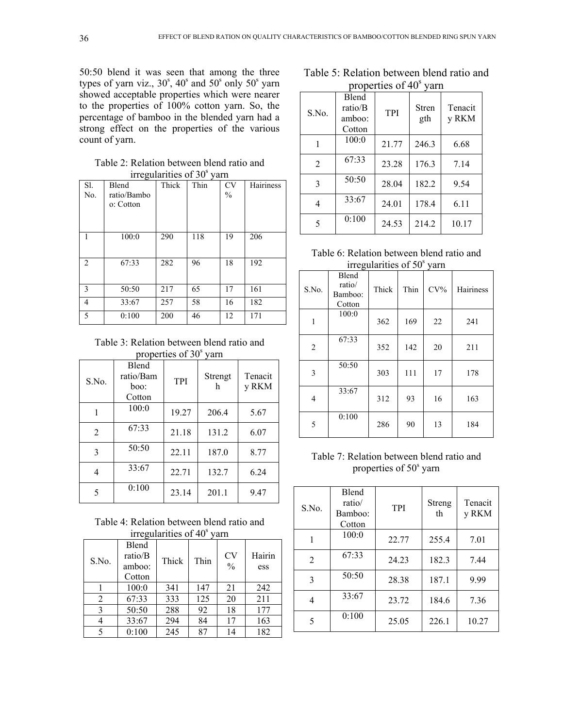50:50 blend it was seen that among the three types of yarn viz., 30°, 40° and 50° only 50° yarn showed acceptable properties which were nearer to the properties of 100% cotton yarn. So, the percentage of bamboo in the blended yarn had a strong effect on the properties of the various count of yarn.

Table 2: Relation between blend ratio and irregularities of 30<sup>s</sup> varn

| Thick<br>Thin<br>S1.<br><b>CV</b><br>Blend<br>$\%$<br>ratio/Bambo<br>No.<br>o: Cotton | Hairiness |
|---------------------------------------------------------------------------------------|-----------|
|                                                                                       |           |
|                                                                                       |           |
|                                                                                       |           |
|                                                                                       |           |
|                                                                                       |           |
| 290<br>118<br>19<br>206<br>1<br>100:0                                                 |           |
|                                                                                       |           |
| 96<br>$\overline{2}$<br>282<br>18<br>192<br>67:33                                     |           |
|                                                                                       |           |
| 3<br>50:50<br>217<br>65<br>161<br>17                                                  |           |
| 58<br>182<br>257<br>4<br>33:67<br>16                                                  |           |
| 5<br>200<br>171<br>46<br>12<br>0:100                                                  |           |

Table 3: Relation between blend ratio and properties of 30<sup>s</sup> varn

| S.No.          | Blend<br>ratio/Bam<br>boo:<br>Cotton | TPI   | Strengt<br>h | Tenacit<br>y RKM |  |
|----------------|--------------------------------------|-------|--------------|------------------|--|
| 1              | 100:0                                | 19.27 | 206.4        | 5.67             |  |
| $\overline{2}$ | 67:33                                | 21.18 | 131.2        | 6.07             |  |
| 3              | 50:50                                | 22.11 | 187.0        | 8.77             |  |
| 4              | 33:67                                | 22.71 | 132.7        | 6.24             |  |
| 5              | 0:100                                | 23.14 | 201.1        | 9.47             |  |

Table 4: Relation between blend ratio and irregularities of  $40^{\circ}$  varn

| $\mathbf{u}$ is $\mathbf{v}$ and $\mathbf{u}$ is $\mathbf{v}$<br> |                                      |       |      |                            |               |  |
|-------------------------------------------------------------------|--------------------------------------|-------|------|----------------------------|---------------|--|
| S.No.                                                             | Blend<br>ratio/B<br>amboo:<br>Cotton | Thick | Thin | <b>CV</b><br>$\frac{0}{0}$ | Hairin<br>ess |  |
|                                                                   | 100:0                                | 341   | 147  | 21                         | 242           |  |
| 2                                                                 | 67:33                                | 333   | 125  | 20                         | 211           |  |
| 3                                                                 | 50:50                                | 288   | 92   | 18                         | 177           |  |
| 4                                                                 | 33:67                                | 294   | 84   | 17                         | 163           |  |
| 5                                                                 | 0:100                                | 245   | 87   | 14                         | 182           |  |

Table 5: Relation between blend ratio and properties of 40<sup>s</sup> varn

| S.No.          | <b>Blend</b><br>ratio/B<br>amboo:<br>Cotton | <b>TPI</b> | <b>Stren</b><br>gth | Tenacit<br>y RKM |  |
|----------------|---------------------------------------------|------------|---------------------|------------------|--|
| 1              | 100:0                                       | 21.77      | 246.3               | 6.68             |  |
| $\overline{2}$ | 67:33                                       | 23.28      | 176.3               | 7.14             |  |
| 3              | 50:50                                       | 28.04      | 182.2               | 9.54             |  |
| 4              | 33:67                                       | 24.01      | 178.4               | 6.11             |  |
| 5              | 0:100                                       | 24.53      | 214.2               | 10.17            |  |

| Table 6: Relation between blend ratio and |  |
|-------------------------------------------|--|
| irregularities of 50 <sup>s</sup> varn    |  |

| S.No.          | Blend<br>ratio/<br>Bamboo:<br>Cotton | Thick | Thin | $CV\%$ | Hairiness |
|----------------|--------------------------------------|-------|------|--------|-----------|
| 1              | 100:0                                | 362   | 169  | 22     | 241       |
| $\overline{2}$ | 67:33                                | 352   | 142  | 20     | 211       |
| 3              | 50:50                                | 303   | 111  | 17     | 178       |
| $\overline{4}$ | 33:67                                | 312   | 93   | 16     | 163       |
| 5              | 0:100                                | 286   | 90   | 13     | 184       |

Table 7: Relation between blend ratio and properties of 50<sup>s</sup> yarn

| S.No.          | <b>Blend</b><br>ratio/<br>Bamboo:<br>Cotton | <b>TPI</b> | Streng<br>th | Tenacit<br>y RKM |
|----------------|---------------------------------------------|------------|--------------|------------------|
| 1              | 100:0                                       | 22.77      | 255.4        | 7.01             |
| $\overline{2}$ | 67:33                                       | 24.23      | 182.3        | 7.44             |
| 3              | 50:50                                       | 28.38      | 187.1        | 9.99             |
| 4              | 33:67                                       | 23.72      | 184.6        | 7.36             |
| 5              | 0:100                                       | 25.05      | 226.1        | 10.27            |